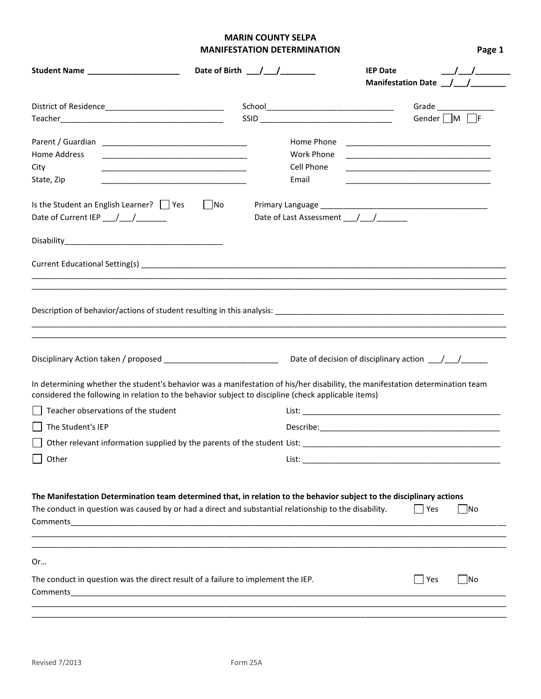## **MARIN COUNTY SELPA MANIFESTATION DETERMINATION Page 1**

| Student Name _____________________                                                                                                 | Date of Birth $\frac{1}{\sqrt{2}}$                                                                                                                                                                                                   | $\frac{\Delta}{\Delta}$<br><b>IEP Date</b>                                                                           |
|------------------------------------------------------------------------------------------------------------------------------------|--------------------------------------------------------------------------------------------------------------------------------------------------------------------------------------------------------------------------------------|----------------------------------------------------------------------------------------------------------------------|
|                                                                                                                                    |                                                                                                                                                                                                                                      | Manifestation Date _______________                                                                                   |
|                                                                                                                                    |                                                                                                                                                                                                                                      | Grade $\_$                                                                                                           |
|                                                                                                                                    |                                                                                                                                                                                                                                      | Gender $\Box$ M $\Box$ F                                                                                             |
|                                                                                                                                    | Home Phone                                                                                                                                                                                                                           |                                                                                                                      |
| Home Address<br><u> 1989 - Johann John Stone, mars et al. (1989)</u>                                                               | Work Phone                                                                                                                                                                                                                           |                                                                                                                      |
| City<br><u> 1989 - Johann Stein, mars an deutscher Stein und der Stein und der Stein und der Stein und der Stein und der</u>       | Cell Phone                                                                                                                                                                                                                           |                                                                                                                      |
| State, Zip<br><u> 1989 - Johann Stein, mars an deutscher Stein und der Stein und der Stein und der Stein und der Stein und der</u> | Email                                                                                                                                                                                                                                | <u> 1989 - Johann John Stone, markin film yn y brening yn y brening yn y brening yn y brening y brening yn y bre</u> |
| Is the Student an English Learner?     Yes<br>Date of Current IEP $\_$                                                             | $\vert$ No<br>Date of Last Assessment __/__/______                                                                                                                                                                                   |                                                                                                                      |
|                                                                                                                                    |                                                                                                                                                                                                                                      |                                                                                                                      |
|                                                                                                                                    |                                                                                                                                                                                                                                      |                                                                                                                      |
| Disciplinary Action taken / proposed _______________________________                                                               |                                                                                                                                                                                                                                      |                                                                                                                      |
|                                                                                                                                    | In determining whether the student's behavior was a manifestation of his/her disability, the manifestation determination team<br>considered the following in relation to the behavior subject to discipline (check applicable items) |                                                                                                                      |
| Teacher observations of the student                                                                                                |                                                                                                                                                                                                                                      |                                                                                                                      |
| The Student's IEP                                                                                                                  |                                                                                                                                                                                                                                      |                                                                                                                      |
|                                                                                                                                    |                                                                                                                                                                                                                                      |                                                                                                                      |
| $\bigsqcup$ Other                                                                                                                  | List:                                                                                                                                                                                                                                |                                                                                                                      |
|                                                                                                                                    | The Manifestation Determination team determined that, in relation to the behavior subject to the disciplinary actions<br>The conduct in question was caused by or had a direct and substantial relationship to the disability.       | T Yes<br>$\overline{\mathsf{No}}$                                                                                    |
| Or                                                                                                                                 |                                                                                                                                                                                                                                      |                                                                                                                      |
| The conduct in question was the direct result of a failure to implement the IEP.<br>Comments                                       |                                                                                                                                                                                                                                      | $\blacksquare$ Yes<br>$\overline{\phantom{a}}$ No                                                                    |
|                                                                                                                                    |                                                                                                                                                                                                                                      |                                                                                                                      |